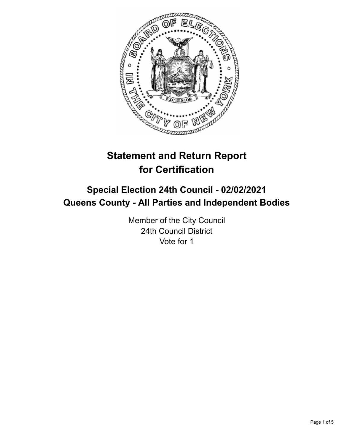

# **Statement and Return Report for Certification**

## **Special Election 24th Council - 02/02/2021 Queens County - All Parties and Independent Bodies**

Member of the City Council 24th Council District Vote for 1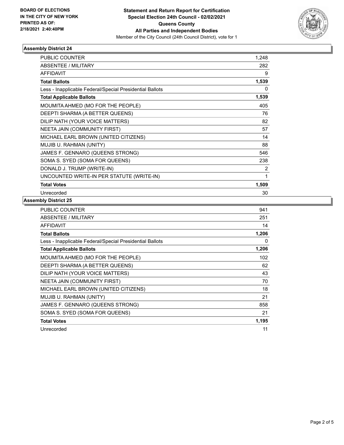

## **Assembly District 24**

| <b>PUBLIC COUNTER</b>                                    | 1,248 |
|----------------------------------------------------------|-------|
| ABSENTEE / MILITARY                                      | 282   |
| <b>AFFIDAVIT</b>                                         | 9     |
| <b>Total Ballots</b>                                     | 1,539 |
| Less - Inapplicable Federal/Special Presidential Ballots | 0     |
| <b>Total Applicable Ballots</b>                          | 1,539 |
| MOUMITA AHMED (MO FOR THE PEOPLE)                        | 405   |
| DEEPTI SHARMA (A BETTER QUEENS)                          | 76    |
| DILIP NATH (YOUR VOICE MATTERS)                          | 82    |
| NEETA JAIN (COMMUNITY FIRST)                             | 57    |
| MICHAEL EARL BROWN (UNITED CITIZENS)                     | 14    |
| MUJIB U. RAHMAN (UNITY)                                  | 88    |
| JAMES F. GENNARO (QUEENS STRONG)                         | 546   |
| SOMA S. SYED (SOMA FOR QUEENS)                           | 238   |
| DONALD J. TRUMP (WRITE-IN)                               | 2     |
| UNCOUNTED WRITE-IN PER STATUTE (WRITE-IN)                | 1     |
| <b>Total Votes</b>                                       | 1,509 |
| Unrecorded                                               | 30    |

#### **Assembly District 25**

| <b>PUBLIC COUNTER</b>                                    | 941   |
|----------------------------------------------------------|-------|
| <b>ABSENTEE / MILITARY</b>                               | 251   |
| AFFIDAVIT                                                | 14    |
| <b>Total Ballots</b>                                     | 1,206 |
| Less - Inapplicable Federal/Special Presidential Ballots | 0     |
| <b>Total Applicable Ballots</b>                          | 1,206 |
| MOUMITA AHMED (MO FOR THE PEOPLE)                        | 102   |
| DEEPTI SHARMA (A BETTER QUEENS)                          | 62    |
| DILIP NATH (YOUR VOICE MATTERS)                          | 43    |
| NEETA JAIN (COMMUNITY FIRST)                             | 70    |
| MICHAEL EARL BROWN (UNITED CITIZENS)                     | 18    |
| MUJIB U. RAHMAN (UNITY)                                  | 21    |
| JAMES F. GENNARO (QUEENS STRONG)                         | 858   |
| SOMA S. SYED (SOMA FOR QUEENS)                           | 21    |
| <b>Total Votes</b>                                       | 1,195 |
| Unrecorded                                               | 11    |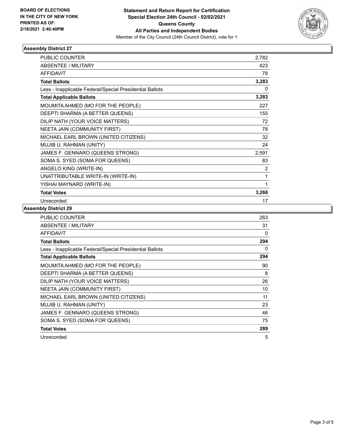

## **Assembly District 27**

| <b>PUBLIC COUNTER</b>                                    | 2,782 |
|----------------------------------------------------------|-------|
| <b>ABSENTEE / MILITARY</b>                               | 423   |
| <b>AFFIDAVIT</b>                                         | 78    |
| <b>Total Ballots</b>                                     | 3,283 |
| Less - Inapplicable Federal/Special Presidential Ballots | 0     |
| <b>Total Applicable Ballots</b>                          | 3,283 |
| MOUMITA AHMED (MO FOR THE PEOPLE)                        | 227   |
| DEEPTI SHARMA (A BETTER QUEENS)                          | 155   |
| DILIP NATH (YOUR VOICE MATTERS)                          | 72    |
| NEETA JAIN (COMMUNITY FIRST)                             | 78    |
| MICHAEL EARL BROWN (UNITED CITIZENS)                     | 32    |
| MUJIB U. RAHMAN (UNITY)                                  | 24    |
| JAMES F. GENNARO (QUEENS STRONG)                         | 2,591 |
| SOMA S. SYED (SOMA FOR QUEENS)                           | 83    |
| ANGELO KING (WRITE-IN)                                   | 2     |
| UNATTRIBUTABLE WRITE-IN (WRITE-IN)                       | 1     |
| YISHAI MAYNARD (WRITE-IN)                                | 1     |
| <b>Total Votes</b>                                       | 3,266 |
| Unrecorded                                               | 17    |

## **Assembly District 29**

| <b>PUBLIC COUNTER</b>                                    | 263 |
|----------------------------------------------------------|-----|
| <b>ABSENTEE / MILITARY</b>                               | 31  |
| <b>AFFIDAVIT</b>                                         | 0   |
| <b>Total Ballots</b>                                     | 294 |
| Less - Inapplicable Federal/Special Presidential Ballots | 0   |
| <b>Total Applicable Ballots</b>                          | 294 |
| MOUMITA AHMED (MO FOR THE PEOPLE)                        | 90  |
| DEEPTI SHARMA (A BETTER QUEENS)                          | 8   |
| DILIP NATH (YOUR VOICE MATTERS)                          | 26  |
| NEETA JAIN (COMMUNITY FIRST)                             | 10  |
| MICHAEL EARL BROWN (UNITED CITIZENS)                     | 11  |
| MUJIB U. RAHMAN (UNITY)                                  | 23  |
| JAMES F. GENNARO (QUEENS STRONG)                         | 46  |
| SOMA S. SYED (SOMA FOR QUEENS)                           | 75  |
| <b>Total Votes</b>                                       | 289 |
| Unrecorded                                               | 5   |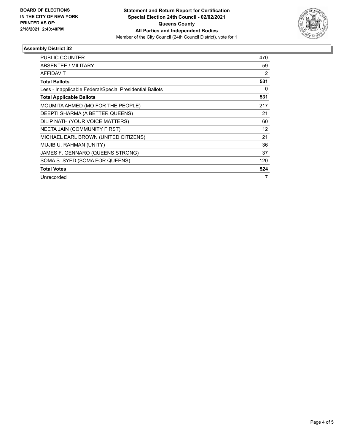

## **Assembly District 32**

| <b>PUBLIC COUNTER</b>                                    | 470 |
|----------------------------------------------------------|-----|
| <b>ABSENTEE / MILITARY</b>                               | 59  |
| <b>AFFIDAVIT</b>                                         | 2   |
| <b>Total Ballots</b>                                     | 531 |
| Less - Inapplicable Federal/Special Presidential Ballots | 0   |
| <b>Total Applicable Ballots</b>                          | 531 |
| MOUMITA AHMED (MO FOR THE PEOPLE)                        | 217 |
| DEEPTI SHARMA (A BETTER QUEENS)                          | 21  |
| DILIP NATH (YOUR VOICE MATTERS)                          | 60  |
| NEETA JAIN (COMMUNITY FIRST)                             | 12  |
| MICHAEL EARL BROWN (UNITED CITIZENS)                     | 21  |
| MUJIB U. RAHMAN (UNITY)                                  | 36  |
| JAMES F. GENNARO (QUEENS STRONG)                         | 37  |
| SOMA S. SYED (SOMA FOR QUEENS)                           | 120 |
| <b>Total Votes</b>                                       | 524 |
| Unrecorded                                               | 7   |